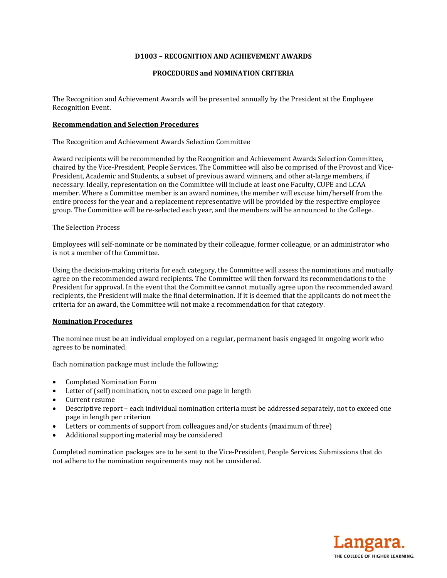# **D1003 – RECOGNITION AND ACHIEVEMENT AWARDS**

## **PROCEDURES and NOMINATION CRITERIA**

The Recognition and Achievement Awards will be presented annually by the President at the Employee Recognition Event.

# **Recommendation and Selection Procedures**

The Recognition and Achievement Awards Selection Committee

Award recipients will be recommended by the Recognition and Achievement Awards Selection Committee, chaired by the Vice-President, People Services. The Committee will also be comprised of the Provost and Vice-President, Academic and Students, a subset of previous award winners, and other at-large members, if necessary. Ideally, representation on the Committee will include at least one Faculty, CUPE and LCAA member. Where a Committee member is an award nominee, the member will excuse him/herself from the entire process for the year and a replacement representative will be provided by the respective employee group. The Committee will be re-selected each year, and the members will be announced to the College.

## The Selection Process

Employees will self-nominate or be nominated by their colleague, former colleague, or an administrator who is not a member of the Committee.

Using the decision-making criteria for each category, the Committee will assess the nominations and mutually agree on the recommended award recipients. The Committee will then forward its recommendations to the President for approval. In the event that the Committee cannot mutually agree upon the recommended award recipients, the President will make the final determination. If it is deemed that the applicants do not meet the criteria for an award, the Committee will not make a recommendation for that category.

## **Nomination Procedures**

The nominee must be an individual employed on a regular, permanent basis engaged in ongoing work who agrees to be nominated.

Each nomination package must include the following:

- Completed Nomination Form
- Letter of (self) nomination, not to exceed one page in length
- Current resume
- Descriptive report each individual nomination criteria must be addressed separately, not to exceed one page in length per criterion
- Letters or comments of support from colleagues and/or students (maximum of three)
- Additional supporting material may be considered

Completed nomination packages are to be sent to the Vice-President, People Services. Submissions that do not adhere to the nomination requirements may not be considered.

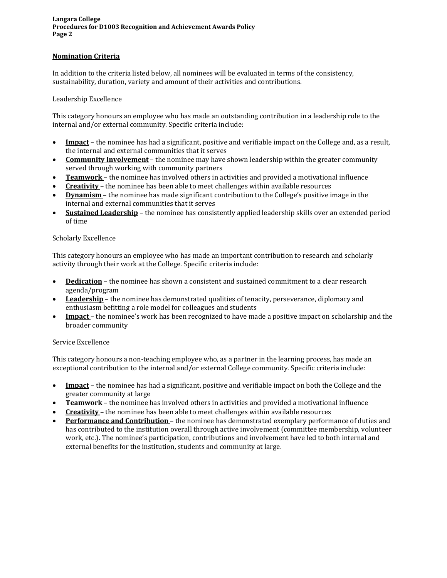# **Nomination Criteria**

In addition to the criteria listed below, all nominees will be evaluated in terms of the consistency, sustainability, duration, variety and amount of their activities and contributions.

## Leadership Excellence

This category honours an employee who has made an outstanding contribution in a leadership role to the internal and/or external community. Specific criteria include:

- **Impact** the nominee has had a significant, positive and verifiable impact on the College and, as a result, the internal and external communities that it serves
- **Community Involvement** the nominee may have shown leadership within the greater community served through working with community partners
- **Teamwork** the nominee has involved others in activities and provided a motivational influence
- **Creativity** the nominee has been able to meet challenges within available resources
- **Dynamism** the nominee has made significant contribution to the College's positive image in the internal and external communities that it serves
- **Sustained Leadership** the nominee has consistently applied leadership skills over an extended period of time

#### Scholarly Excellence

This category honours an employee who has made an important contribution to research and scholarly activity through their work at the College. Specific criteria include:

- Dedication the nominee has shown a consistent and sustained commitment to a clear research agenda/program
- **Leadership** the nominee has demonstrated qualities of tenacity, perseverance, diplomacy and enthusiasm befitting a role model for colleagues and students
- **Impact** the nominee's work has been recognized to have made a positive impact on scholarship and the broader community

## Service Excellence

This category honours a non-teaching employee who, as a partner in the learning process, has made an exceptional contribution to the internal and/or external College community. Specific criteria include:

- **Impact** the nominee has had a significant, positive and verifiable impact on both the College and the greater community at large
- **Teamwork** the nominee has involved others in activities and provided a motivational influence
- **Creativity** the nominee has been able to meet challenges within available resources
- **Performance and Contribution** the nominee has demonstrated exemplary performance of duties and has contributed to the institution overall through active involvement (committee membership, volunteer work, etc.). The nominee's participation, contributions and involvement have led to both internal and external benefits for the institution, students and community at large.